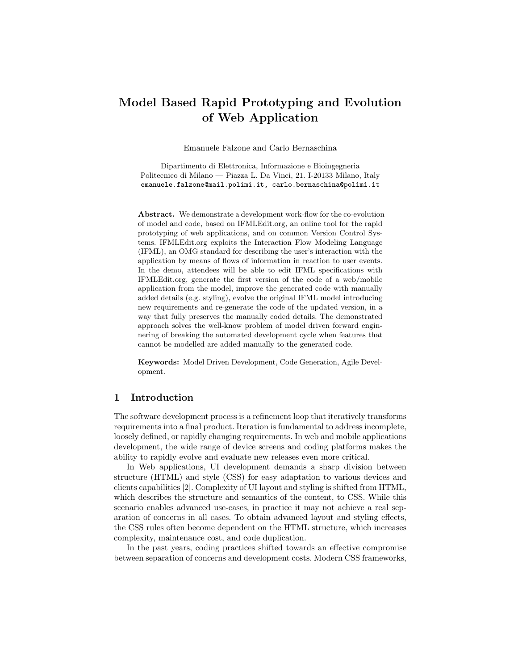# Model Based Rapid Prototyping and Evolution of Web Application

Emanuele Falzone and Carlo Bernaschina

Dipartimento di Elettronica, Informazione e Bioingegneria Politecnico di Milano — Piazza L. Da Vinci, 21. I-20133 Milano, Italy emanuele.falzone@mail.polimi.it, carlo.bernaschina@polimi.it

Abstract. We demonstrate a development work-flow for the co-evolution of model and code, based on IFMLEdit.org, an online tool for the rapid prototyping of web applications, and on common Version Control Systems. IFMLEdit.org exploits the Interaction Flow Modeling Language (IFML), an OMG standard for describing the user's interaction with the application by means of flows of information in reaction to user events. In the demo, attendees will be able to edit IFML specifications with IFMLEdit.org, generate the first version of the code of a web/mobile application from the model, improve the generated code with manually added details (e.g. styling), evolve the original IFML model introducing new requirements and re-generate the code of the updated version, in a way that fully preserves the manually coded details. The demonstrated approach solves the well-know problem of model driven forward enginnering of breaking the automated development cycle when features that cannot be modelled are added manually to the generated code.

Keywords: Model Driven Development, Code Generation, Agile Development.

#### 1 Introduction

The software development process is a refinement loop that iteratively transforms requirements into a final product. Iteration is fundamental to address incomplete, loosely defined, or rapidly changing requirements. In web and mobile applications development, the wide range of device screens and coding platforms makes the ability to rapidly evolve and evaluate new releases even more critical.

In Web applications, UI development demands a sharp division between structure (HTML) and style (CSS) for easy adaptation to various devices and clients capabilities [2]. Complexity of UI layout and styling is shifted from HTML, which describes the structure and semantics of the content, to CSS. While this scenario enables advanced use-cases, in practice it may not achieve a real separation of concerns in all cases. To obtain advanced layout and styling effects, the CSS rules often become dependent on the HTML structure, which increases complexity, maintenance cost, and code duplication.

In the past years, coding practices shifted towards an effective compromise between separation of concerns and development costs. Modern CSS frameworks,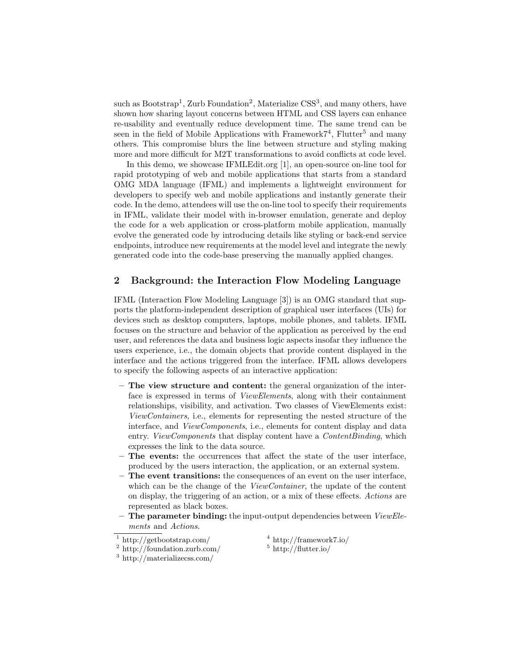such as Bootstrap<sup>1</sup>, Zurb Foundation<sup>2</sup>, Materialize CSS<sup>3</sup>, and many others, have shown how sharing layout concerns between HTML and CSS layers can enhance re-usability and eventually reduce development time. The same trend can be seen in the field of Mobile Applications with Framework $7^4$ , Flutter<sup>5</sup> and many others. This compromise blurs the line between structure and styling making more and more difficult for M2T transformations to avoid conflicts at code level.

In this demo, we showcase IFMLEdit.org [1], an open-source on-line tool for rapid prototyping of web and mobile applications that starts from a standard OMG MDA language (IFML) and implements a lightweight environment for developers to specify web and mobile applications and instantly generate their code. In the demo, attendees will use the on-line tool to specify their requirements in IFML, validate their model with in-browser emulation, generate and deploy the code for a web application or cross-platform mobile application, manually evolve the generated code by introducing details like styling or back-end service endpoints, introduce new requirements at the model level and integrate the newly generated code into the code-base preserving the manually applied changes.

#### 2 Background: the Interaction Flow Modeling Language

IFML (Interaction Flow Modeling Language [3]) is an OMG standard that supports the platform-independent description of graphical user interfaces (UIs) for devices such as desktop computers, laptops, mobile phones, and tablets. IFML focuses on the structure and behavior of the application as perceived by the end user, and references the data and business logic aspects insofar they influence the users experience, i.e., the domain objects that provide content displayed in the interface and the actions triggered from the interface. IFML allows developers to specify the following aspects of an interactive application:

- The view structure and content: the general organization of the interface is expressed in terms of ViewElements, along with their containment relationships, visibility, and activation. Two classes of ViewElements exist: ViewContainers, i.e., elements for representing the nested structure of the interface, and ViewComponents, i.e., elements for content display and data entry. ViewComponents that display content have a ContentBinding, which expresses the link to the data source.
- The events: the occurrences that affect the state of the user interface, produced by the users interaction, the application, or an external system.
- The event transitions: the consequences of an event on the user interface, which can be the change of the *ViewContainer*, the update of the content on display, the triggering of an action, or a mix of these effects. Actions are represented as black boxes.
- The parameter binding: the input-output dependencies between ViewElements and Actions.

<sup>4</sup> http://framework7.io/  $^5$ http://flutter.io/

<sup>1</sup> http://getbootstrap.com/

<sup>2</sup> http://foundation.zurb.com/

<sup>3</sup> http://materializecss.com/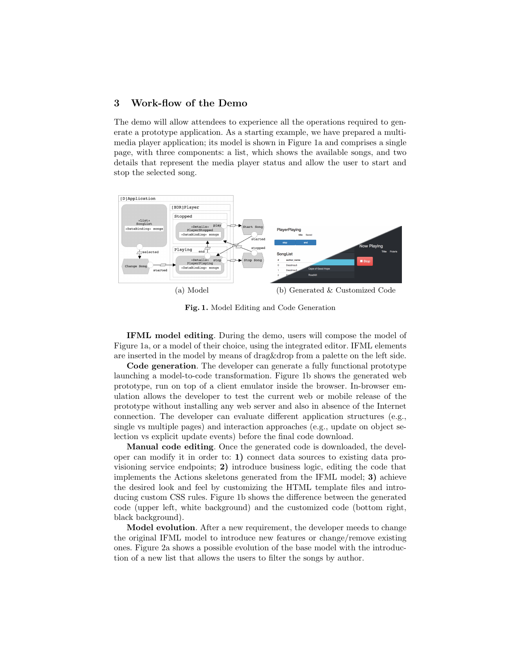## 3 Work-flow of the Demo

The demo will allow attendees to experience all the operations required to generate a prototype application. As a starting example, we have prepared a multimedia player application; its model is shown in Figure 1a and comprises a single page, with three components: a list, which shows the available songs, and two details that represent the media player status and allow the user to start and stop the selected song.



Fig. 1. Model Editing and Code Generation

IFML model editing. During the demo, users will compose the model of Figure 1a, or a model of their choice, using the integrated editor. IFML elements are inserted in the model by means of drag&drop from a palette on the left side.

Code generation. The developer can generate a fully functional prototype launching a model-to-code transformation. Figure 1b shows the generated web prototype, run on top of a client emulator inside the browser. In-browser emulation allows the developer to test the current web or mobile release of the prototype without installing any web server and also in absence of the Internet connection. The developer can evaluate different application structures (e.g., single vs multiple pages) and interaction approaches (e.g., update on object selection vs explicit update events) before the final code download.

Manual code editing. Once the generated code is downloaded, the developer can modify it in order to: 1) connect data sources to existing data provisioning service endpoints; 2) introduce business logic, editing the code that implements the Actions skeletons generated from the IFML model; 3) achieve the desired look and feel by customizing the HTML template files and introducing custom CSS rules. Figure 1b shows the difference between the generated code (upper left, white background) and the customized code (bottom right, black background).

Model evolution. After a new requirement, the developer meeds to change the original IFML model to introduce new features or change/remove existing ones. Figure 2a shows a possible evolution of the base model with the introduction of a new list that allows the users to filter the songs by author.